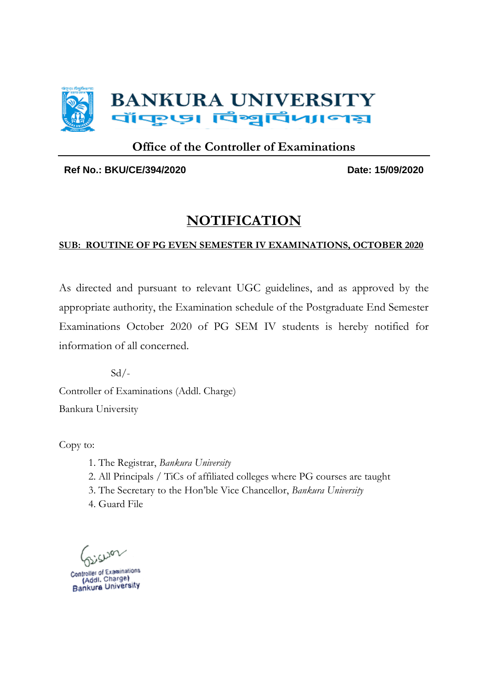

### **Office of the Controller of Examinations**

**Ref No.: BKU/CE/394/2020 Date: 15/09/2020**

## **NOTIFICATION**

### **SUB: ROUTINE OF PG EVEN SEMESTER IV EXAMINATIONS, OCTOBER 2020**

As directed and pursuant to relevant UGC guidelines, and as approved by the appropriate authority, the Examination schedule of the Postgraduate End Semester Examinations October 2020 of PG SEM IV students is hereby notified for information of all concerned.

 $Sd/-$ Controller of Examinations (Addl. Charge) Bankura University

Copy to:

- 1. The Registrar, *Bankura University*
- 2. All Principals / TiCs of affiliated colleges where PG courses are taught
- 3. The Secretary to the Hon'ble Vice Chancellor, *Bankura University*
- 4. Guard File

**DCT** 

Controller of Examinations Controller of Examinations<br>(Addl. Charge)<br>Bankura University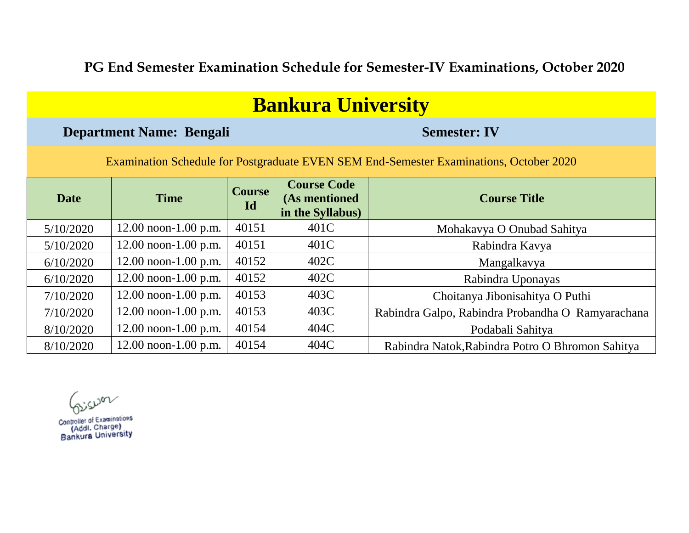**PG End Semester Examination Schedule for Semester-IV Examinations, October 2020**

| <b>Bankura University</b>                                                              |                                 |                     |                                                         |                                                   |  |
|----------------------------------------------------------------------------------------|---------------------------------|---------------------|---------------------------------------------------------|---------------------------------------------------|--|
|                                                                                        | <b>Department Name: Bengali</b> |                     | <b>Semester: IV</b>                                     |                                                   |  |
| Examination Schedule for Postgraduate EVEN SEM End-Semester Examinations, October 2020 |                                 |                     |                                                         |                                                   |  |
| <b>Date</b>                                                                            | <b>Time</b>                     | <b>Course</b><br>Id | <b>Course Code</b><br>(As mentioned<br>in the Syllabus) | <b>Course Title</b>                               |  |
| 5/10/2020                                                                              | $12.00$ noon-1.00 p.m.          | 40151               | 401C                                                    | Mohakavya O Onubad Sahitya                        |  |
| 5/10/2020                                                                              | $12.00$ noon-1.00 p.m.          | 40151               | 401C                                                    | Rabindra Kavya                                    |  |
| 6/10/2020                                                                              | $12.00$ noon-1.00 p.m.          | 40152               | 402C                                                    | Mangalkavya                                       |  |
| 6/10/2020                                                                              | $12.00$ noon-1.00 p.m.          | 40152               | 402C                                                    | Rabindra Uponayas                                 |  |
| 7/10/2020                                                                              | $12.00$ noon-1.00 p.m.          | 40153               | 403C                                                    | Choitanya Jibonisahitya O Puthi                   |  |
| 7/10/2020                                                                              | $12.00$ noon-1.00 p.m.          | 40153               | 403C                                                    | Rabindra Galpo, Rabindra Probandha O Ramyarachana |  |
| 8/10/2020                                                                              | $12.00$ noon-1.00 p.m.          | 40154               | 404C                                                    | Podabali Sahitya                                  |  |
| 8/10/2020                                                                              | $12.00$ noon-1.00 p.m.          | 40154               | 404C                                                    | Rabindra Natok, Rabindra Potro O Bhromon Sahitya  |  |

Giswar

Controller of Examinations<br>(Addl. Charge)<br>Bankura University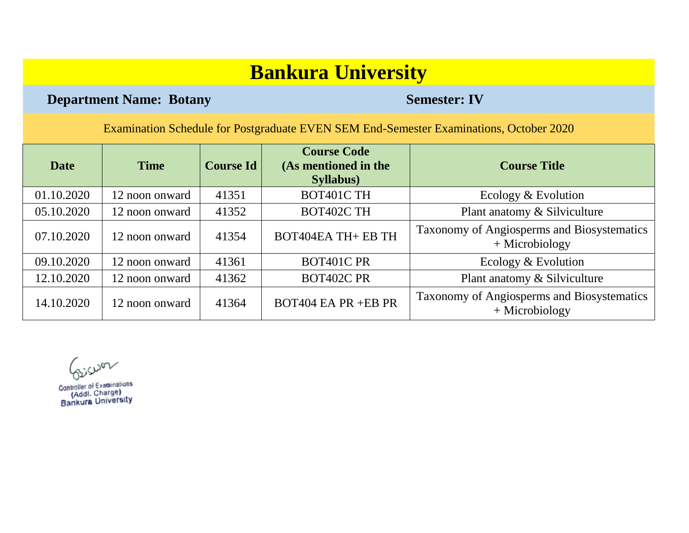**Department Name: Botany <b>Semester: IV** 

| <b>Date</b> | <b>Time</b>    | <b>Course Id</b> | <b>Course Code</b><br>(As mentioned in the<br><b>Syllabus</b> ) | <b>Course Title</b>                                            |
|-------------|----------------|------------------|-----------------------------------------------------------------|----------------------------------------------------------------|
| 01.10.2020  | 12 noon onward | 41351            | BOT401C TH                                                      | Ecology & Evolution                                            |
| 05.10.2020  | 12 noon onward | 41352            | BOT402C TH                                                      | Plant anatomy & Silviculture                                   |
| 07.10.2020  | 12 noon onward | 41354            | <b>BOT404EA TH+ EB TH</b>                                       | Taxonomy of Angiosperms and Biosystematics<br>$+$ Microbiology |
| 09.10.2020  | 12 noon onward | 41361            | BOT401C PR                                                      | Ecology & Evolution                                            |
| 12.10.2020  | 12 noon onward | 41362            | <b>BOT402C PR</b>                                               | Plant anatomy & Silviculture                                   |
| 14.10.2020  | 12 noon onward | 41364            | <b>BOT404 EA PR +EB PR</b>                                      | Taxonomy of Angiosperms and Biosystematics<br>$+$ Microbiology |

Giswar

Controller of Examinations (Addl. Charge) Bankura University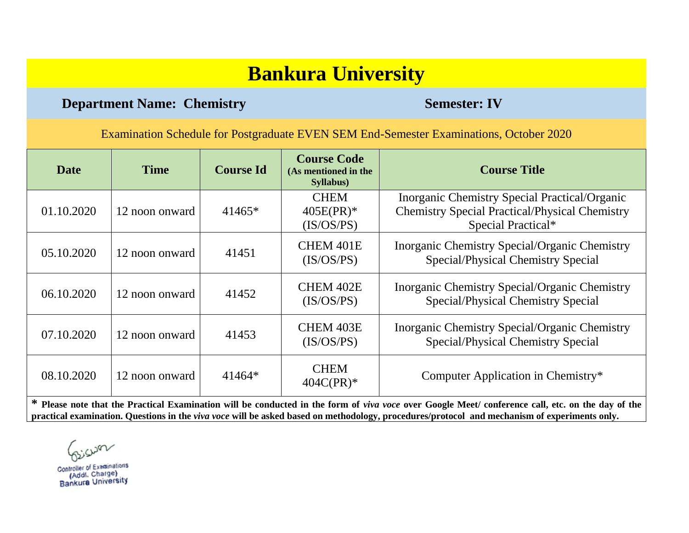### **Department Name: Chemistry <b>Semester: IV** Semester: IV

Examination Schedule for Postgraduate EVEN SEM End-Semester Examinations, October 2020

| Date       | <b>Time</b>    | <b>Course Id</b> | <b>Course Code</b><br>(As mentioned in the<br><b>Syllabus</b> ) | <b>Course Title</b>                                                                                                          |
|------------|----------------|------------------|-----------------------------------------------------------------|------------------------------------------------------------------------------------------------------------------------------|
| 01.10.2020 | 12 noon onward | $41465*$         | <b>CHEM</b><br>$405E(PR)*$<br>(IS/OS/PS)                        | Inorganic Chemistry Special Practical/Organic<br><b>Chemistry Special Practical/Physical Chemistry</b><br>Special Practical* |
| 05.10.2020 | 12 noon onward | 41451            | CHEM 401E<br>(IS/OS/PS)                                         | Inorganic Chemistry Special/Organic Chemistry<br>Special/Physical Chemistry Special                                          |
| 06.10.2020 | 12 noon onward | 41452            | CHEM 402E<br>(IS/OS/PS)                                         | Inorganic Chemistry Special/Organic Chemistry<br>Special/Physical Chemistry Special                                          |
| 07.10.2020 | 12 noon onward | 41453            | CHEM 403E<br>(IS/OS/PS)                                         | Inorganic Chemistry Special/Organic Chemistry<br>Special/Physical Chemistry Special                                          |
| 08.10.2020 | 12 noon onward | $41464*$         | <b>CHEM</b><br>$404C(PR)*$                                      | Computer Application in Chemistry*                                                                                           |

**\* Please note that the Practical Examination will be conducted in the form of** *viva voce* **over Google Meet/ conference call, etc. on the day of the practical examination. Questions in the** *viva voce* **will be asked based on methodology, procedures/protocol and mechanism of experiments only.**

iswar

**Controller of Examinations** (Addl. Charge) Bankura University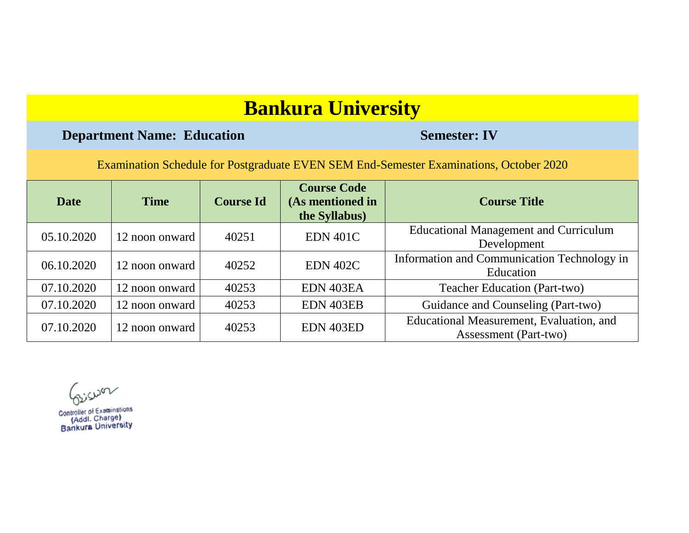### **Department Name: Education Semester: IV**

| Date       | <b>Time</b>    | <b>Course Id</b> | <b>Course Code</b><br>(As mentioned in<br>the Syllabus) | <b>Course Title</b>                                                      |
|------------|----------------|------------------|---------------------------------------------------------|--------------------------------------------------------------------------|
| 05.10.2020 | 12 noon onward | 40251            | <b>EDN 401C</b>                                         | <b>Educational Management and Curriculum</b><br>Development              |
| 06.10.2020 | 12 noon onward | 40252            | <b>EDN 402C</b>                                         | Information and Communication Technology in<br>Education                 |
| 07.10.2020 | 12 noon onward | 40253            | EDN 403EA                                               | <b>Teacher Education (Part-two)</b>                                      |
| 07.10.2020 | 12 noon onward | 40253            | EDN 403EB                                               | Guidance and Counseling (Part-two)                                       |
| 07.10.2020 | 12 noon onward | 40253            | EDN 403ED                                               | Educational Measurement, Evaluation, and<br><b>Assessment</b> (Part-two) |

Giswar

Controller of Examinations (Addl. Charge) Bankura University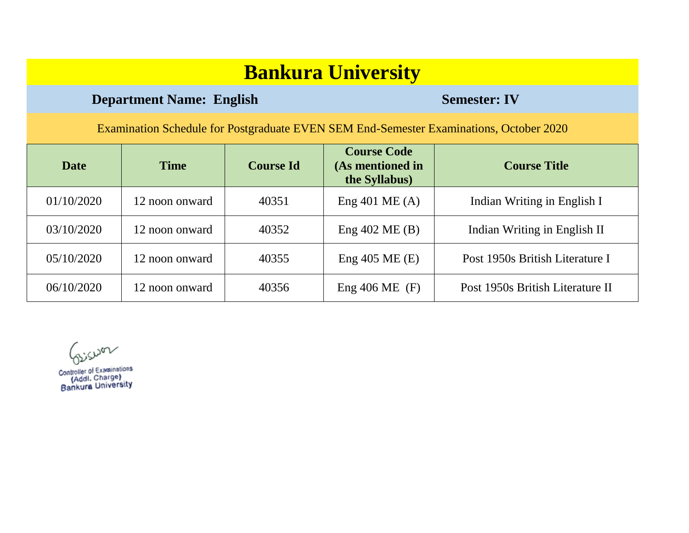### **Department Name: English Semester: IV**

| Date       | <b>Time</b>    | <b>Course Id</b> | <b>Course Code</b><br>(As mentioned in<br>the Syllabus) | <b>Course Title</b>              |
|------------|----------------|------------------|---------------------------------------------------------|----------------------------------|
| 01/10/2020 | 12 noon onward | 40351            | Eng $401$ ME (A)                                        | Indian Writing in English I      |
| 03/10/2020 | 12 noon onward | 40352            | Eng $402$ ME $(B)$                                      | Indian Writing in English II     |
| 05/10/2020 | 12 noon onward | 40355            | Eng $405$ ME $(E)$                                      | Post 1950s British Literature I  |
| 06/10/2020 | 12 noon onward | 40356            | Eng $406 \text{ ME }$ (F)                               | Post 1950s British Literature II |

Giswon

Controller of Examinations Controller of Examinations<br>(Addl. Charge)<br>Bankura University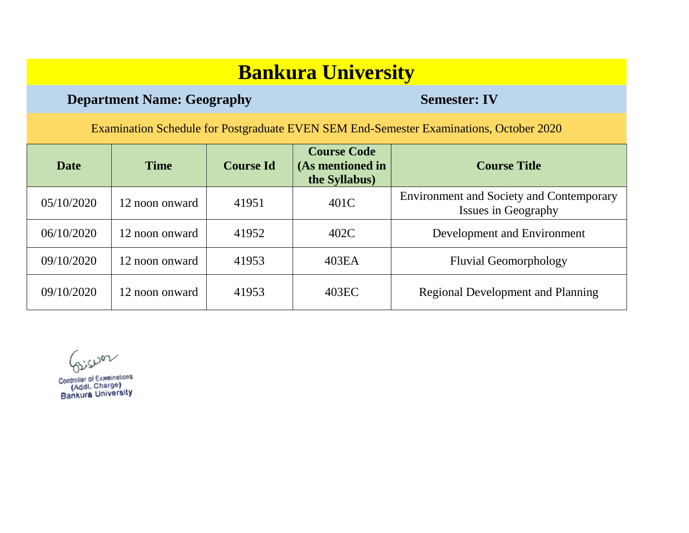### **Department Name: Geography Semester: IV**

Examination Schedule for Postgraduate EVEN SEM End-Semester Examinations, October 2020

| <b>Date</b> | <b>Time</b>    | <b>Course Id</b> | <b>Course Code</b><br>(As mentioned in<br>the Syllabus) | <b>Course Title</b>                                                    |
|-------------|----------------|------------------|---------------------------------------------------------|------------------------------------------------------------------------|
| 05/10/2020  | 12 noon onward | 41951            | 401C                                                    | <b>Environment and Society and Contemporary</b><br>Issues in Geography |
| 06/10/2020  | 12 noon onward | 41952            | 402C                                                    | Development and Environment                                            |
| 09/10/2020  | 12 noon onward | 41953            | 403EA                                                   | <b>Fluvial Geomorphology</b>                                           |
| 09/10/2020  | 12 noon onward | 41953            | 403EC                                                   | <b>Regional Development and Planning</b>                               |

misum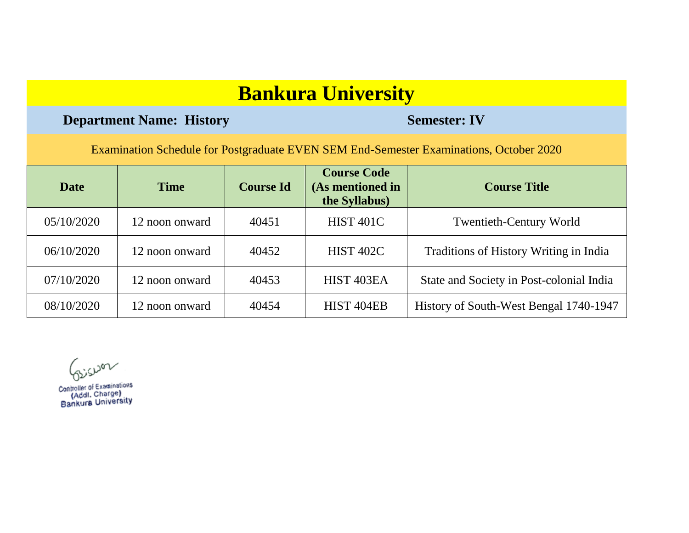### **Department Name: History <b>Semester: IV**

| <b>Date</b> | <b>Time</b>    | <b>Course Id</b> | <b>Course Code</b><br>(As mentioned in<br>the Syllabus) | <b>Course Title</b>                      |
|-------------|----------------|------------------|---------------------------------------------------------|------------------------------------------|
| 05/10/2020  | 12 noon onward | 40451            | <b>HIST 401C</b>                                        | <b>Twentieth-Century World</b>           |
| 06/10/2020  | 12 noon onward | 40452            | <b>HIST 402C</b>                                        | Traditions of History Writing in India   |
| 07/10/2020  | 12 noon onward | 40453            | HIST <sub>403EA</sub>                                   | State and Society in Post-colonial India |
| 08/10/2020  | 12 noon onward | 40454            | HIST <sub>404EB</sub>                                   | History of South-West Bengal 1740-1947   |

Giswar

Controller of Examinations (Addl. Charge) Bankura University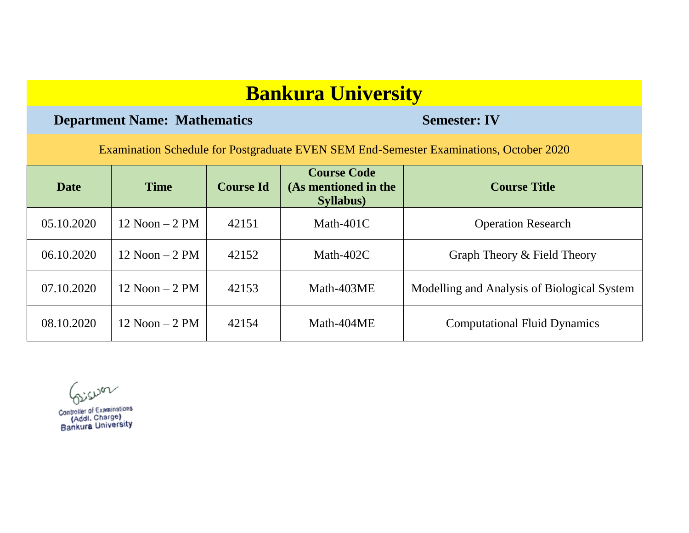### **Department Name: Mathematics Semester: IV**

| <b>Date</b> | <b>Time</b>       | <b>Course Id</b> | <b>Course Code</b><br>(As mentioned in the<br><b>Syllabus</b> ) | <b>Course Title</b>                         |
|-------------|-------------------|------------------|-----------------------------------------------------------------|---------------------------------------------|
| 05.10.2020  | $12$ Noon $-2$ PM | 42151            | Math- $401C$                                                    | <b>Operation Research</b>                   |
| 06.10.2020  | $12$ Noon $-2$ PM | 42152            | Math-402 $C$                                                    | Graph Theory & Field Theory                 |
| 07.10.2020  | $12$ Noon $-2$ PM | 42153            | Math-403ME                                                      | Modelling and Analysis of Biological System |
| 08.10.2020  | $12$ Noon $-2$ PM | 42154            | Math-404ME                                                      | <b>Computational Fluid Dynamics</b>         |

Giswar

Controller of Examinations Controller of Examinations<br>(Addl. Charge)<br>Bankura University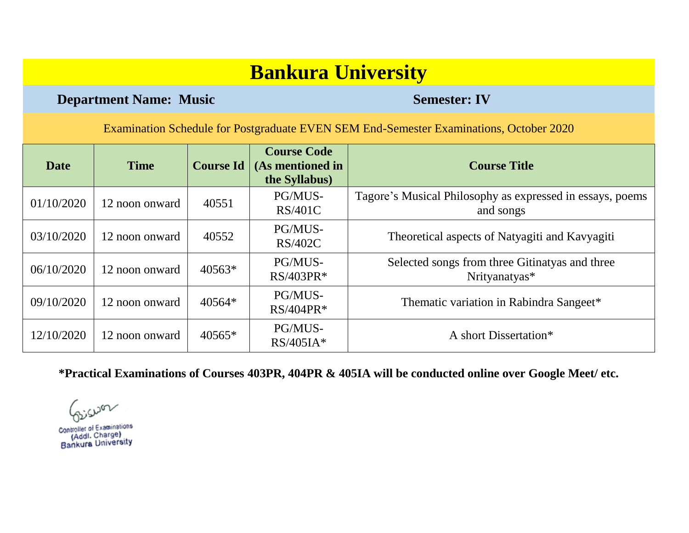**Department Name: Music Semester: IV** 

Examination Schedule for Postgraduate EVEN SEM End-Semester Examinations, October 2020

| <b>Date</b> | <b>Time</b>    | <b>Course Id</b> | <b>Course Code</b><br>(As mentioned in<br>the Syllabus) | <b>Course Title</b>                                                    |
|-------------|----------------|------------------|---------------------------------------------------------|------------------------------------------------------------------------|
| 01/10/2020  | 12 noon onward | 40551            | PG/MUS-<br><b>RS/401C</b>                               | Tagore's Musical Philosophy as expressed in essays, poems<br>and songs |
| 03/10/2020  | 12 noon onward | 40552            | PG/MUS-<br>RS/402C                                      | Theoretical aspects of Natyagiti and Kavyagiti                         |
| 06/10/2020  | 12 noon onward | $40563*$         | PG/MUS-<br>$RS/403PR*$                                  | Selected songs from three Gitinatyas and three<br>Nrityanatyas*        |
| 09/10/2020  | 12 noon onward | 40564*           | PG/MUS-<br>$RS/404PR*$                                  | Thematic variation in Rabindra Sangeet*                                |
| 12/10/2020  | 12 noon onward | $40565*$         | PG/MUS-<br>$RS/405IA*$                                  | A short Dissertation*                                                  |

**\*Practical Examinations of Courses 403PR, 404PR & 405IA will be conducted online over Google Meet/ etc.**

Controller of Examinations (Addl. Charge) Bankura University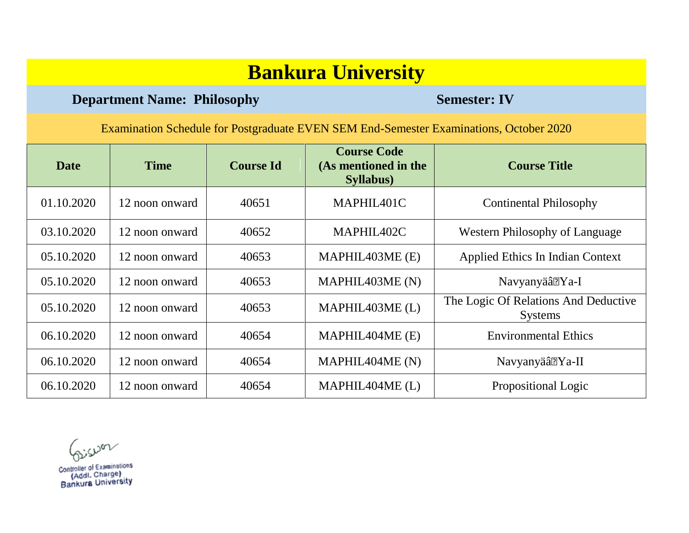### **Department Name: Philosophy Semester: IV**

Examination Schedule for Postgraduate EVEN SEM End-Semester Examinations, October 2020

| Date       | <b>Time</b>    | <b>Course Id</b> | <b>Course Code</b><br>(As mentioned in the<br><b>Syllabus</b> ) | <b>Course Title</b>                                    |
|------------|----------------|------------------|-----------------------------------------------------------------|--------------------------------------------------------|
| 01.10.2020 | 12 noon onward | 40651            | MAPHIL401C                                                      | <b>Continental Philosophy</b>                          |
| 03.10.2020 | 12 noon onward | 40652            | MAPHIL402C                                                      | Western Philosophy of Language                         |
| 05.10.2020 | 12 noon onward | 40653            | MAPHIL403ME (E)                                                 | Applied Ethics In Indian Context                       |
| 05.10.2020 | 12 noon onward | 40653            | MAPHIL403ME (N)                                                 | Navyanyäâ• Ya-I                                        |
| 05.10.2020 | 12 noon onward | 40653            | MAPHIL403ME (L)                                                 | The Logic Of Relations And Deductive<br><b>Systems</b> |
| 06.10.2020 | 12 noon onward | 40654            | MAPHIL404ME (E)                                                 | <b>Environmental Ethics</b>                            |
| 06.10.2020 | 12 noon onward | 40654            | MAPHIL404ME (N)                                                 | Navyanyäâ• Ya-II                                       |
| 06.10.2020 | 12 noon onward | 40654            | MAPHIL404ME (L)                                                 | Propositional Logic                                    |

Giswon

Controller of Examinations Controller of Examination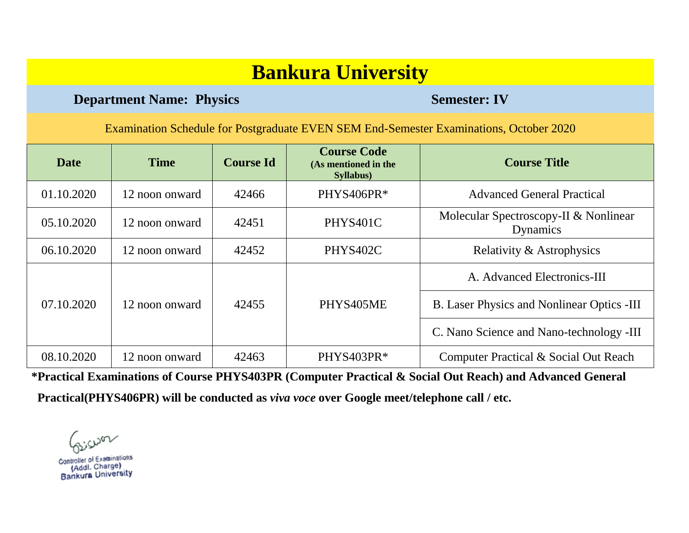### **Department Name: Physics Semester: IV**

Examination Schedule for Postgraduate EVEN SEM End-Semester Examinations, October 2020

| <b>Date</b> | <b>Time</b>    | <b>Course Id</b> | <b>Course Code</b><br>(As mentioned in the<br>Syllabus) | <b>Course Title</b>                               |
|-------------|----------------|------------------|---------------------------------------------------------|---------------------------------------------------|
| 01.10.2020  | 12 noon onward | 42466            | PHYS406PR*                                              | <b>Advanced General Practical</b>                 |
| 05.10.2020  | 12 noon onward | 42451            | PHYS401C                                                | Molecular Spectroscopy-II & Nonlinear<br>Dynamics |
| 06.10.2020  | 12 noon onward | 42452            | PHYS402C                                                | Relativity & Astrophysics                         |
|             |                |                  |                                                         | A. Advanced Electronics-III                       |
| 07.10.2020  | 12 noon onward | 42455            | PHYS405ME                                               | <b>B.</b> Laser Physics and Nonlinear Optics -III |
|             |                |                  |                                                         | C. Nano Science and Nano-technology -III          |
| 08.10.2020  | 12 noon onward | 42463            | PHYS403PR*                                              | Computer Practical & Social Out Reach             |

**\*Practical Examinations of Course PHYS403PR (Computer Practical & Social Out Reach) and Advanced General** 

 **Practical(PHYS406PR) will be conducted as** *viva voce* **over Google meet/telephone call / etc.**

iswa

**Controller of Examinations** (Addl. Charge) Bankura University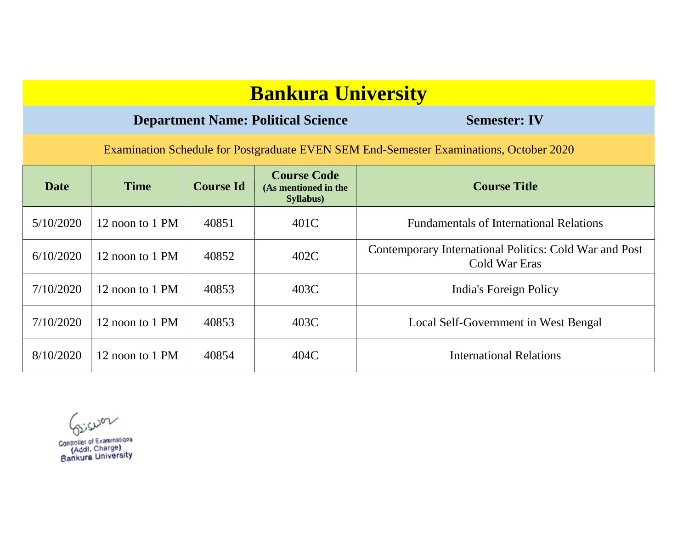### **Department Name: Political Science Semester: IV**

Examination Schedule for Postgraduate EVEN SEM End-Semester Examinations, October 2020

| <b>Date</b> | <b>Time</b>     | <b>Course Id</b> | <b>Course Code</b><br>(As mentioned in the<br>Syllabus) | <b>Course Title</b>                                                     |
|-------------|-----------------|------------------|---------------------------------------------------------|-------------------------------------------------------------------------|
| 5/10/2020   | 12 noon to 1 PM | 40851            | 401C                                                    | <b>Fundamentals of International Relations</b>                          |
| 6/10/2020   | 12 noon to 1 PM | 40852            | 402C                                                    | Contemporary International Politics: Cold War and Post<br>Cold War Eras |
| 7/10/2020   | 12 noon to 1 PM | 40853            | 403C                                                    | India's Foreign Policy                                                  |
| 7/10/2020   | 12 noon to 1 PM | 40853            | 403C                                                    | Local Self-Government in West Bengal                                    |
| 8/10/2020   | 12 noon to 1 PM | 40854            | 404C                                                    | <b>International Relations</b>                                          |

Giswan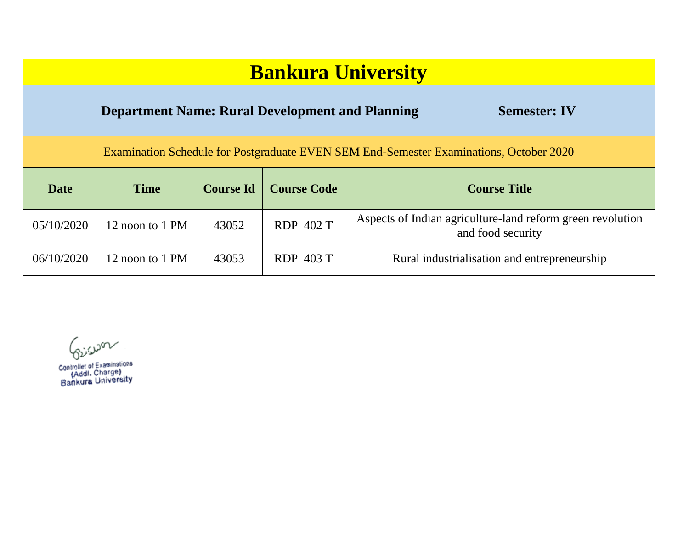| <b>Bankura University</b>                                                              |                 |                  |                    |                                                                                 |  |
|----------------------------------------------------------------------------------------|-----------------|------------------|--------------------|---------------------------------------------------------------------------------|--|
| <b>Department Name: Rural Development and Planning</b><br><b>Semester: IV</b>          |                 |                  |                    |                                                                                 |  |
| Examination Schedule for Postgraduate EVEN SEM End-Semester Examinations, October 2020 |                 |                  |                    |                                                                                 |  |
| <b>Date</b>                                                                            | <b>Time</b>     | <b>Course Id</b> | <b>Course Code</b> | <b>Course Title</b>                                                             |  |
| 05/10/2020                                                                             | 12 noon to 1 PM | 43052            | RDP 402 T          | Aspects of Indian agriculture-land reform green revolution<br>and food security |  |
| 06/10/2020                                                                             | 12 noon to 1 PM | 43053            | RDP 403 T          | Rural industrialisation and entrepreneurship                                    |  |

Giswar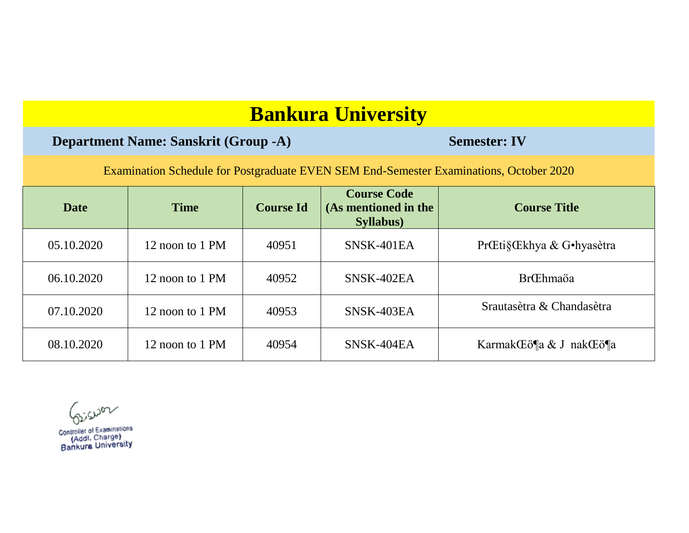### **Department Name: Sanskrit (Group -A) Semester: IV**

Examination Schedule for Postgraduate EVEN SEM End-Semester Examinations, October 2020

| <b>Date</b> | <b>Time</b>     | <b>Course Id</b> | <b>Course Code</b><br>(As mentioned in the<br><b>Syllabus</b> ) | <b>Course Title</b>       |
|-------------|-----------------|------------------|-----------------------------------------------------------------|---------------------------|
| 05.10.2020  | 12 noon to 1 PM | 40951            | SNSK-401EA                                                      | PrŒti§Œkhya & G•hyasètra  |
| 06.10.2020  | 12 noon to 1 PM | 40952            | SNSK-402EA                                                      | <b>Br</b> Chmaöa          |
| 07.10.2020  | 12 noon to 1 PM | 40953            | SNSK-403EA                                                      | Srautasètra & Chandasètra |
| 08.10.2020  | 12 noon to 1 PM | 40954            | SNSK-404EA                                                      | Karmak Eö¶a & J nak Eö¶a  |

siswar

Controller of Examinations Controller of Examinations<br>(Addl. Charge)<br>Bankura University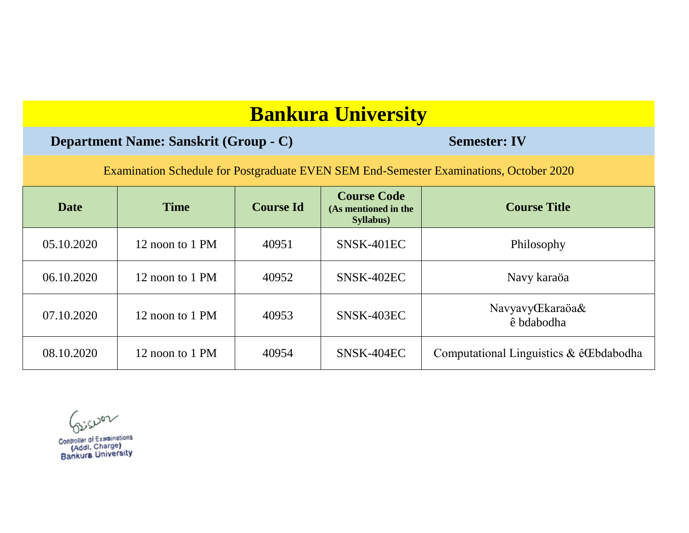### **Department Name: Sanskrit (Group - C) Semester: IV**

Examination Schedule for Postgraduate EVEN SEM End-Semester Examinations, October 2020

| <b>Date</b> | <b>Time</b>     | <b>Course Id</b> | <b>Course Code</b><br>(As mentioned in the<br>Syllabus) | <b>Course Title</b>                       |
|-------------|-----------------|------------------|---------------------------------------------------------|-------------------------------------------|
| 05.10.2020  | 12 noon to 1 PM | 40951            | SNSK-401EC                                              | Philosophy                                |
| 06.10.2020  | 12 noon to 1 PM | 40952            | SNSK-402EC                                              | Navy karaöa                               |
| 07.10.2020  | 12 noon to 1 PM | 40953            | SNSK-403EC                                              | Navyavy <b>Ekaraöa&amp;</b><br>ê bdabodha |
| 08.10.2020  | 12 noon to 1 PM | 40954            | SNSK-404EC                                              | Computational Linguistics & êCEbdabodha   |

**COULDON**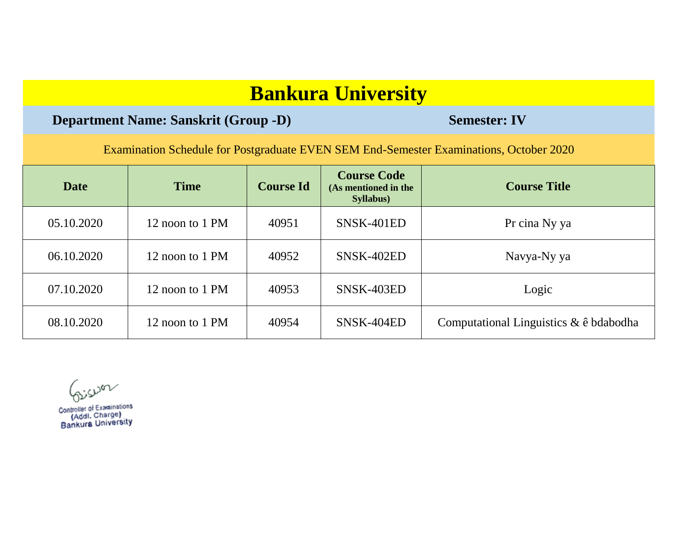### **Department Name: Sanskrit (Group -D) Semester: IV**

Examination Schedule for Postgraduate EVEN SEM End-Semester Examinations, October 2020

| <b>Date</b>                   | <b>Time</b>     | <b>Course Id</b> | <b>Course Code</b><br>(As mentioned in the<br>Syllabus) | <b>Course Title</b>                    |
|-------------------------------|-----------------|------------------|---------------------------------------------------------|----------------------------------------|
| 05.10.2020                    | 12 noon to 1 PM | 40951            | SNSK-401ED                                              | Pr cina Ny ya                          |
| 06.10.2020                    | 12 noon to 1 PM | 40952            | SNSK-402ED                                              | Navya-Ny ya                            |
| 07.10.2020                    | 12 noon to 1 PM | 40953            | SNSK-403ED                                              | Logic                                  |
| 08.10.2020<br>12 noon to 1 PM |                 | 40954            | SNSK-404ED                                              | Computational Linguistics & ê bdabodha |

Giswar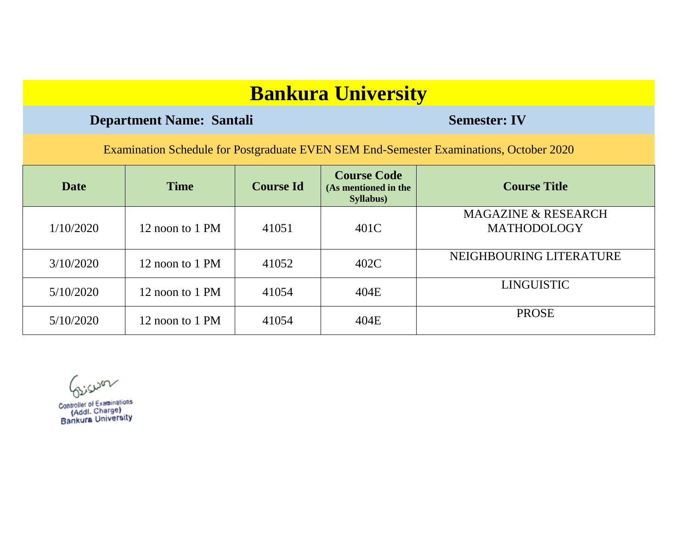### **Department Name: Santali <b>Semester: IV** Semester: IV

Examination Schedule for Postgraduate EVEN SEM End-Semester Examinations, October 2020

| <b>Date</b> | <b>Time</b>     | <b>Course Id</b> | <b>Course Code</b><br>(As mentioned in the<br>Syllabus) | <b>Course Title</b>                                  |
|-------------|-----------------|------------------|---------------------------------------------------------|------------------------------------------------------|
| 1/10/2020   | 12 noon to 1 PM | 41051            | 401C                                                    | <b>MAGAZINE &amp; RESEARCH</b><br><b>MATHODOLOGY</b> |
| 3/10/2020   | 12 noon to 1 PM | 41052            | 402C                                                    | NEIGHBOURING LITERATURE                              |
| 5/10/2020   | 12 noon to 1 PM | 41054            | 404E                                                    | LINGUISTIC                                           |
| 5/10/2020   | 12 noon to 1 PM | 41054            | 404E                                                    | <b>PROSE</b>                                         |

Giswar